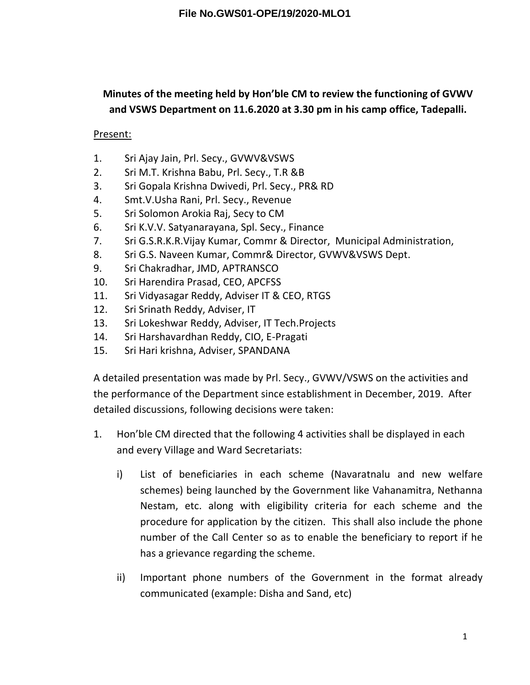## **Minutes of the meeting held by Hon'ble CM to review the functioning of GVWV and VSWS Department on 11.6.2020 at 3.30 pm in his camp office, Tadepalli.**

## Present:

- 1. Sri Ajay Jain, Prl. Secy., GVWV&VSWS
- 2. Sri M.T. Krishna Babu, Prl. Secy., T.R &B
- 3. Sri Gopala Krishna Dwivedi, Prl. Secy., PR& RD
- 4. Smt.V.Usha Rani, Prl. Secy., Revenue
- 5. Sri Solomon Arokia Raj, Secy to CM
- 6. Sri K.V.V. Satyanarayana, Spl. Secy., Finance
- 7. Sri G.S.R.K.R.Vijay Kumar, Commr & Director, Municipal Administration,
- 8. Sri G.S. Naveen Kumar, Commr& Director, GVWV&VSWS Dept.
- 9. Sri Chakradhar, JMD, APTRANSCO
- 10. Sri Harendira Prasad, CEO, APCFSS
- 11. Sri Vidyasagar Reddy, Adviser IT & CEO, RTGS
- 12. Sri Srinath Reddy, Adviser, IT
- 13. Sri Lokeshwar Reddy, Adviser, IT Tech.Projects
- 14. Sri Harshavardhan Reddy, CIO, E-Pragati
- 15. Sri Hari krishna, Adviser, SPANDANA

A detailed presentation was made by Prl. Secy., GVWV/VSWS on the activities and the performance of the Department since establishment in December, 2019. After detailed discussions, following decisions were taken:

- 1. Hon'ble CM directed that the following 4 activities shall be displayed in each and every Village and Ward Secretariats:
	- i) List of beneficiaries in each scheme (Navaratnalu and new welfare schemes) being launched by the Government like Vahanamitra, Nethanna Nestam, etc. along with eligibility criteria for each scheme and the procedure for application by the citizen. This shall also include the phone number of the Call Center so as to enable the beneficiary to report if he has a grievance regarding the scheme.
	- ii) Important phone numbers of the Government in the format already communicated (example: Disha and Sand, etc)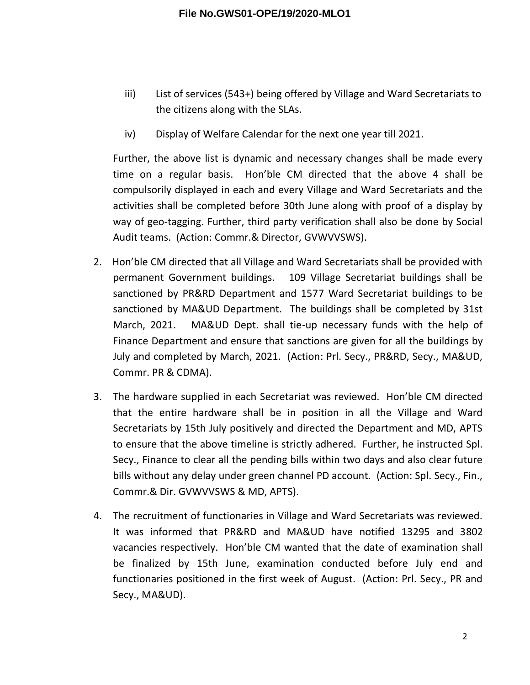- iii) List of services (543+) being offered by Village and Ward Secretariats to the citizens along with the SLAs.
- iv) Display of Welfare Calendar for the next one year till 2021.

Further, the above list is dynamic and necessary changes shall be made every time on a regular basis. Hon'ble CM directed that the above 4 shall be compulsorily displayed in each and every Village and Ward Secretariats and the activities shall be completed before 30th June along with proof of a display by way of geo-tagging. Further, third party verification shall also be done by Social Audit teams. (Action: Commr.& Director, GVWVVSWS).

- 2. Hon'ble CM directed that all Village and Ward Secretariats shall be provided with permanent Government buildings. 109 Village Secretariat buildings shall be sanctioned by PR&RD Department and 1577 Ward Secretariat buildings to be sanctioned by MA&UD Department. The buildings shall be completed by 31st March, 2021. MA&UD Dept. shall tie-up necessary funds with the help of Finance Department and ensure that sanctions are given for all the buildings by July and completed by March, 2021. (Action: Prl. Secy., PR&RD, Secy., MA&UD, Commr. PR & CDMA).
- 3. The hardware supplied in each Secretariat was reviewed. Hon'ble CM directed that the entire hardware shall be in position in all the Village and Ward Secretariats by 15th July positively and directed the Department and MD, APTS to ensure that the above timeline is strictly adhered. Further, he instructed Spl. Secy., Finance to clear all the pending bills within two days and also clear future bills without any delay under green channel PD account. (Action: Spl. Secy., Fin., Commr.& Dir. GVWVVSWS & MD, APTS).
- 4. The recruitment of functionaries in Village and Ward Secretariats was reviewed. It was informed that PR&RD and MA&UD have notified 13295 and 3802 vacancies respectively. Hon'ble CM wanted that the date of examination shall be finalized by 15th June, examination conducted before July end and functionaries positioned in the first week of August. (Action: Prl. Secy., PR and Secy., MA&UD).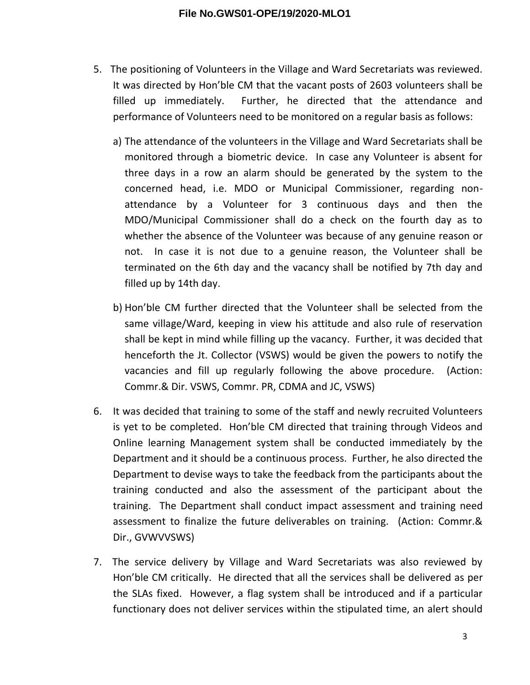- 5. The positioning of Volunteers in the Village and Ward Secretariats was reviewed. It was directed by Hon'ble CM that the vacant posts of 2603 volunteers shall be filled up immediately. Further, he directed that the attendance and performance of Volunteers need to be monitored on a regular basis as follows:
	- a) The attendance of the volunteers in the Village and Ward Secretariats shall be monitored through a biometric device. In case any Volunteer is absent for three days in a row an alarm should be generated by the system to the concerned head, i.e. MDO or Municipal Commissioner, regarding nonattendance by a Volunteer for 3 continuous days and then the MDO/Municipal Commissioner shall do a check on the fourth day as to whether the absence of the Volunteer was because of any genuine reason or not. In case it is not due to a genuine reason, the Volunteer shall be terminated on the 6th day and the vacancy shall be notified by 7th day and filled up by 14th day.
	- b) Hon'ble CM further directed that the Volunteer shall be selected from the same village/Ward, keeping in view his attitude and also rule of reservation shall be kept in mind while filling up the vacancy. Further, it was decided that henceforth the Jt. Collector (VSWS) would be given the powers to notify the vacancies and fill up regularly following the above procedure. (Action: Commr.& Dir. VSWS, Commr. PR, CDMA and JC, VSWS)
- 6. It was decided that training to some of the staff and newly recruited Volunteers is yet to be completed. Hon'ble CM directed that training through Videos and Online learning Management system shall be conducted immediately by the Department and it should be a continuous process. Further, he also directed the Department to devise ways to take the feedback from the participants about the training conducted and also the assessment of the participant about the training. The Department shall conduct impact assessment and training need assessment to finalize the future deliverables on training. (Action: Commr.& Dir., GVWVVSWS)
- 7. The service delivery by Village and Ward Secretariats was also reviewed by Hon'ble CM critically. He directed that all the services shall be delivered as per the SLAs fixed. However, a flag system shall be introduced and if a particular functionary does not deliver services within the stipulated time, an alert should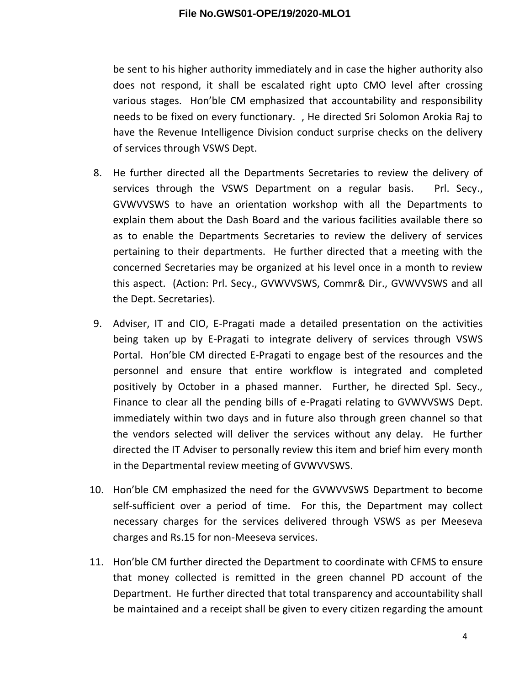## **File No.GWS01-OPE/19/2020-MLO1**

be sent to his higher authority immediately and in case the higher authority also does not respond, it shall be escalated right upto CMO level after crossing various stages. Hon'ble CM emphasized that accountability and responsibility needs to be fixed on every functionary. , He directed Sri Solomon Arokia Raj to have the Revenue Intelligence Division conduct surprise checks on the delivery of services through VSWS Dept.

- 8. He further directed all the Departments Secretaries to review the delivery of services through the VSWS Department on a regular basis. Prl. Secy., GVWVVSWS to have an orientation workshop with all the Departments to explain them about the Dash Board and the various facilities available there so as to enable the Departments Secretaries to review the delivery of services pertaining to their departments. He further directed that a meeting with the concerned Secretaries may be organized at his level once in a month to review this aspect. (Action: Prl. Secy., GVWVVSWS, Commr& Dir., GVWVVSWS and all the Dept. Secretaries).
- 9. Adviser, IT and CIO, E-Pragati made a detailed presentation on the activities being taken up by E-Pragati to integrate delivery of services through VSWS Portal. Hon'ble CM directed E-Pragati to engage best of the resources and the personnel and ensure that entire workflow is integrated and completed positively by October in a phased manner. Further, he directed Spl. Secy., Finance to clear all the pending bills of e-Pragati relating to GVWVVSWS Dept. immediately within two days and in future also through green channel so that the vendors selected will deliver the services without any delay. He further directed the IT Adviser to personally review this item and brief him every month in the Departmental review meeting of GVWVVSWS.
- 10. Hon'ble CM emphasized the need for the GVWVVSWS Department to become self-sufficient over a period of time. For this, the Department may collect necessary charges for the services delivered through VSWS as per Meeseva charges and Rs.15 for non-Meeseva services.
- 11. Hon'ble CM further directed the Department to coordinate with CFMS to ensure that money collected is remitted in the green channel PD account of the Department. He further directed that total transparency and accountability shall be maintained and a receipt shall be given to every citizen regarding the amount